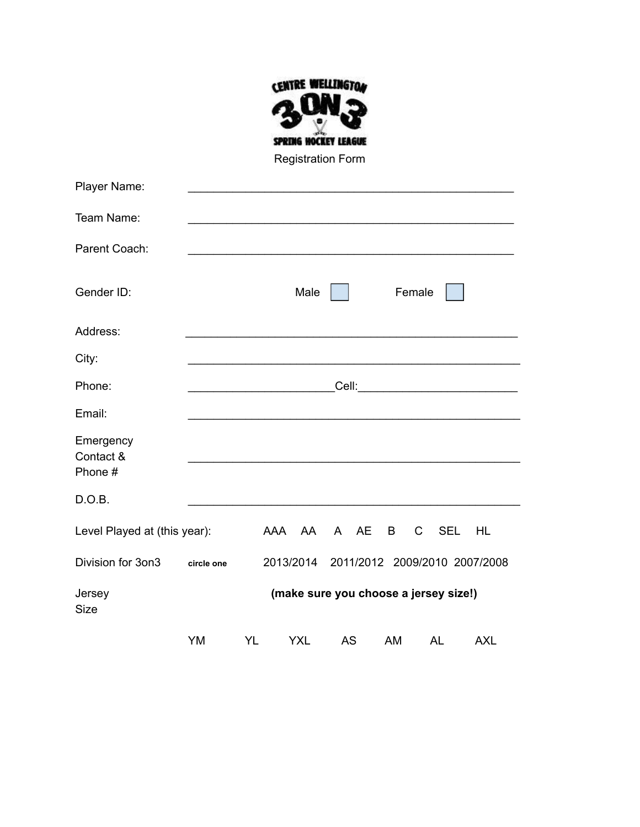

Registration Form

| Player Name:                      |                                       |           |            |                               |        |                            |            |
|-----------------------------------|---------------------------------------|-----------|------------|-------------------------------|--------|----------------------------|------------|
| Team Name:                        |                                       |           |            |                               |        |                            |            |
| Parent Coach:                     |                                       |           |            |                               |        |                            |            |
| Gender ID:                        |                                       |           | Male       |                               | Female |                            |            |
| Address:                          |                                       |           |            |                               |        |                            |            |
| City:                             |                                       |           |            |                               |        |                            |            |
| Phone:                            |                                       |           |            |                               |        |                            |            |
| Email:                            |                                       |           |            |                               |        |                            |            |
| Emergency<br>Contact &<br>Phone # |                                       |           |            |                               |        |                            |            |
| D.O.B.                            |                                       |           |            |                               |        |                            |            |
| Level Played at (this year):      |                                       |           | AAA AA     | A AE                          | B      | <b>SEL</b><br>$\mathsf{C}$ | <b>HL</b>  |
| Division for 3on3                 | circle one                            |           | 2013/2014  | 2011/2012 2009/2010 2007/2008 |        |                            |            |
| Jersey<br><b>Size</b>             | (make sure you choose a jersey size!) |           |            |                               |        |                            |            |
|                                   | YM                                    | <b>YL</b> | <b>YXL</b> | <b>AS</b>                     | AM     | <b>AL</b>                  | <b>AXL</b> |